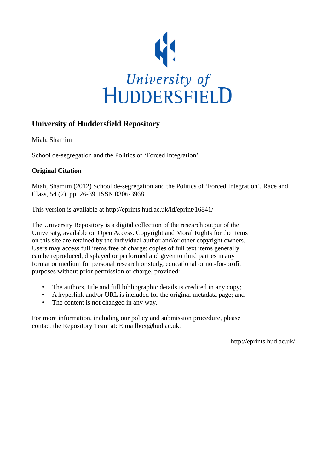

# **University of Huddersfield Repository**

Miah, Shamim

School de-segregation and the Politics of 'Forced Integration'

# **Original Citation**

Miah, Shamim (2012) School de-segregation and the Politics of 'Forced Integration'. Race and Class, 54 (2). pp. 26-39. ISSN 0306-3968

This version is available at http://eprints.hud.ac.uk/id/eprint/16841/

The University Repository is a digital collection of the research output of the University, available on Open Access. Copyright and Moral Rights for the items on this site are retained by the individual author and/or other copyright owners. Users may access full items free of charge; copies of full text items generally can be reproduced, displayed or performed and given to third parties in any format or medium for personal research or study, educational or not-for-profit purposes without prior permission or charge, provided:

- The authors, title and full bibliographic details is credited in any copy;
- A hyperlink and/or URL is included for the original metadata page; and
- The content is not changed in any way.

For more information, including our policy and submission procedure, please contact the Repository Team at: E.mailbox@hud.ac.uk.

http://eprints.hud.ac.uk/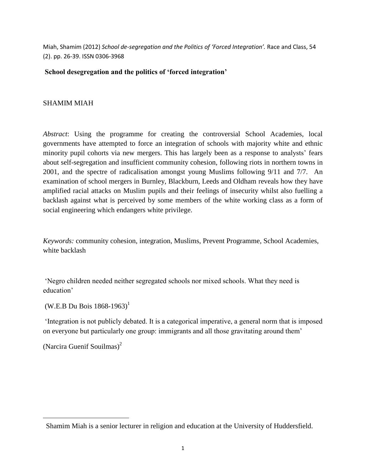Miah, Shamim (2012) *School de-segregation and the Politics of 'Forced Integration'.* Race and Class, 54 (2). pp. 26-39. ISSN 0306-3968

### **School desegregation and the politics of 'forced integration'**

# SHAMIM MIAH

*Abstract*: Using the programme for creating the controversial School Academies, local governments have attempted to force an integration of schools with majority white and ethnic minority pupil cohorts via new mergers. This has largely been as a response to analysts' fears about self-segregation and insufficient community cohesion, following riots in northern towns in 2001, and the spectre of radicalisation amongst young Muslims following 9/11 and 7/7. An examination of school mergers in Burnley, Blackburn, Leeds and Oldham reveals how they have amplified racial attacks on Muslim pupils and their feelings of insecurity whilst also fuelling a backlash against what is perceived by some members of the white working class as a form of social engineering which endangers white privilege.

*Keywords:* community cohesion, integration, Muslims, Prevent Programme, School Academies, white backlash

'Negro children needed neither segregated schools nor mixed schools. What they need is education'

 $(W.E.B Du Bois 1868-1963)^1$ 

'Integration is not publicly debated. It is a categorical imperative, a general norm that is imposed on everyone but particularly one group: immigrants and all those gravitating around them'

(Narcira Guenif Souilmas)<sup>2</sup>

 $\overline{a}$ 

Shamim Miah is a senior lecturer in religion and education at the University of Huddersfield.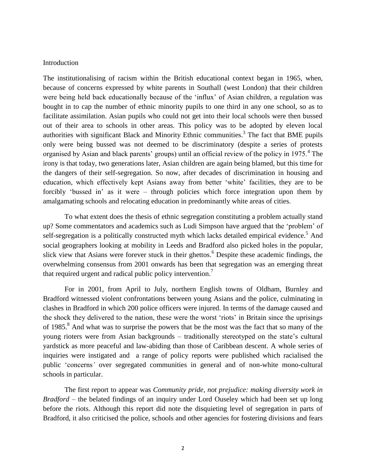#### Introduction

The institutionalising of racism within the British educational context began in 1965, when, because of concerns expressed by white parents in Southall (west London) that their children were being held back educationally because of the 'influx' of Asian children, a regulation was bought in to cap the number of ethnic minority pupils to one third in any one school, so as to facilitate assimilation. Asian pupils who could not get into their local schools were then bussed out of their area to schools in other areas. This policy was to be adopted by eleven local authorities with significant Black and Minority Ethnic communities.<sup>3</sup> The fact that BME pupils only were being bussed was not deemed to be discriminatory (despite a series of protests organised by Asian and black parents' groups) until an official review of the policy in 1975.<sup>4</sup> The irony is that today, two generations later, Asian children are again being blamed, but this time for the dangers of their self-segregation. So now, after decades of discrimination in housing and education, which effectively kept Asians away from better 'white' facilities, they are to be forcibly 'bussed in' as it were – through policies which force integration upon them by amalgamating schools and relocating education in predominantly white areas of cities.

To what extent does the thesis of ethnic segregation constituting a problem actually stand up? Some commentators and academics such as Ludi Simpson have argued that the 'problem' of self-segregation is a politically constructed myth which lacks detailed empirical evidence.<sup>5</sup> And social geographers looking at mobility in Leeds and Bradford also picked holes in the popular, slick view that Asians were forever stuck in their ghettos.<sup>6</sup> Despite these academic findings, the overwhelming consensus from 2001 onwards has been that segregation was an emerging threat that required urgent and radical public policy intervention.<sup>7</sup>

For in 2001, from April to July, northern English towns of Oldham, Burnley and Bradford witnessed violent confrontations between young Asians and the police, culminating in clashes in Bradford in which 200 police officers were injured. In terms of the damage caused and the shock they delivered to the nation, these were the worst 'riots' in Britain since the uprisings of 1985.<sup>8</sup> And what was to surprise the powers that be the most was the fact that so many of the young rioters were from Asian backgrounds – traditionally stereotyped on the state's cultural yardstick as more peaceful and law-abiding than those of Caribbean descent. A whole series of inquiries were instigated and a range of policy reports were published which racialised the public 'concerns*'* over segregated communities in general and of non-white mono-cultural schools in particular.

The first report to appear was *Community pride, not prejudice: making diversity work in Bradford* – the belated findings of an inquiry under Lord Ouseley which had been set up long before the riots. Although this report did note the disquieting level of segregation in parts of Bradford, it also criticised the police, schools and other agencies for fostering divisions and fears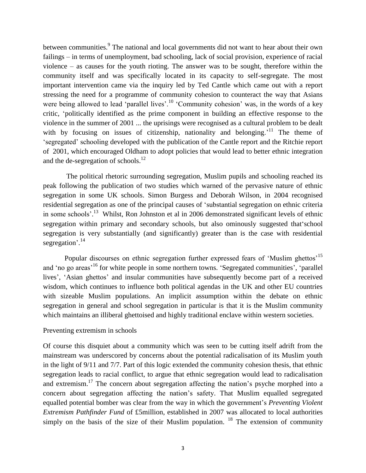between communities.<sup>9</sup> The national and local governments did not want to hear about their own failings – in terms of unemployment, bad schooling, lack of social provision, experience of racial violence – as causes for the youth rioting. The answer was to be sought, therefore within the community itself and was specifically located in its capacity to self-segregate. The most important intervention came via the inquiry led by Ted Cantle which came out with a report stressing the need for a programme of community cohesion to counteract the way that Asians were being allowed to lead 'parallel lives'.<sup>10</sup> 'Community cohesion' was, in the words of a key critic, 'politically identified as the prime component in building an effective response to the violence in the summer of 2001 ... the uprisings were recognised as a cultural problem to be dealt with by focusing on issues of citizenship, nationality and belonging.<sup> $11$ </sup> The theme of 'segregated' schooling developed with the publication of the Cantle report and the Ritchie report of 2001, which encouraged Oldham to adopt policies that would lead to better ethnic integration and the de-segregation of schools. $^{12}$ 

The political rhetoric surrounding segregation, Muslim pupils and schooling reached its peak following the publication of two studies which warned of the pervasive nature of ethnic segregation in some UK schools. Simon Burgess and Deborah Wilson, in 2004 recognised residential segregation as one of the principal causes of 'substantial segregation on ethnic criteria in some schools'.<sup>13</sup> Whilst, Ron Johnston et al in 2006 demonstrated significant levels of ethnic segregation within primary and secondary schools, but also ominously suggested that'school segregation is very substantially (and significantly) greater than is the case with residential segregation'.<sup>14</sup>

Popular discourses on ethnic segregation further expressed fears of 'Muslim ghettos'<sup>15</sup> and 'no go areas'<sup>16</sup> for white people in some northern towns. 'Segregated communities', 'parallel lives', 'Asian ghettos' and insular communities have subsequently become part of a received wisdom, which continues to influence both political agendas in the UK and other EU countries with sizeable Muslim populations. An implicit assumption within the debate on ethnic segregation in general and school segregation in particular is that it is the Muslim community which maintains an illiberal ghettoised and highly traditional enclave within western societies.

#### Preventing extremism in schools

Of course this disquiet about a community which was seen to be cutting itself adrift from the mainstream was underscored by concerns about the potential radicalisation of its Muslim youth in the light of 9/11 and 7/7. Part of this logic extended the community cohesion thesis, that ethnic segregation leads to racial conflict, to argue that ethnic segregation would lead to radicalisation and extremism.<sup>17</sup> The concern about segregation affecting the nation's psyche morphed into a concern about segregation affecting the nation's safety. That Muslim equalled segregated equalled potential bomber was clear from the way in which the government's *Preventing Violent Extremism Pathfinder Fund* of £5million, established in 2007 was allocated to local authorities simply on the basis of the size of their Muslim population.  $18$  The extension of community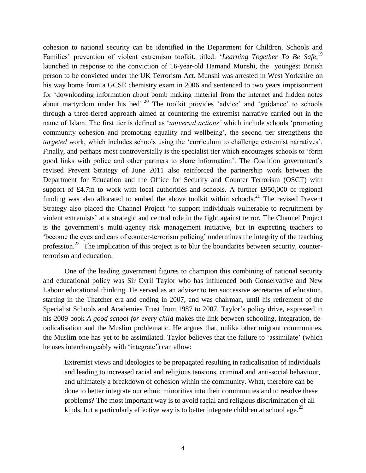cohesion to national security can be identified in the Department for Children, Schools and Families' prevention of violent extremism toolkit, titled: '*Learning Together To Be Safe,*<sup>19</sup> launched in response to the conviction of 16-year-old Hamand Munshi, the youngest British person to be convicted under the UK Terrorism Act. Munshi was arrested in West Yorkshire on his way home from a GCSE chemistry exam in 2006 and sentenced to two years imprisonment for 'downloading information about bomb making material from the internet and hidden notes about martyrdom under his bed'.<sup>20</sup> The toolkit provides 'advice' and 'guidance' to schools through a three-tiered approach aimed at countering the extremist narrative carried out in the name of Islam. The first tier is defined as '*universal actions'* which include schools 'promoting community cohesion and promoting equality and wellbeing', the second tier strengthens the *targeted* work, which includes schools using the 'curriculum to challenge extremist narratives'. Finally, and perhaps most controversially is the specialist tier which encourages schools to 'form good links with police and other partners to share information'. The Coalition government's revised Prevent Strategy of June 2011 also reinforced the partnership work between the Department for Education and the Office for Security and Counter Terrorism (OSCT) with support of £4.7m to work with local authorities and schools. A further £950,000 of regional funding was also allocated to embed the above toolkit within schools.<sup>21</sup> The revised Prevent Strategy also placed the Channel Project 'to support individuals vulnerable to recruitment by violent extremists' at a strategic and central role in the fight against terror. The Channel Project is the government's multi-agency risk management initiative, but in expecting teachers to 'become the eyes and ears of counter-terrorism policing' undermines the integrity of the teaching profession.<sup>22</sup> The implication of this project is to blur the boundaries between security, counterterrorism and education.

One of the leading government figures to champion this combining of national security and educational policy was Sir Cyril Taylor who has influenced both Conservative and New Labour educational thinking. He served as an adviser to ten successive secretaries of education, starting in the Thatcher era and ending in 2007, and was chairman, until his retirement of the Specialist Schools and Academies Trust from 1987 to 2007. Taylor's policy drive, expressed in his 2009 book *A good school for every child* makes the link between schooling, integration, deradicalisation and the Muslim problematic. He argues that, unlike other migrant communities, the Muslim one has yet to be assimilated. Taylor believes that the failure to 'assimilate' (which he uses interchangeably with 'integrate') can allow:

Extremist views and ideologies to be propagated resulting in radicalisation of individuals and leading to increased racial and religious tensions, criminal and anti-social behaviour, and ultimately a breakdown of cohesion within the community. What, therefore can be done to better integrate our ethnic minorities into their communities and to resolve these problems? The most important way is to avoid racial and religious discrimination of all kinds, but a particularly effective way is to better integrate children at school age.<sup>23</sup>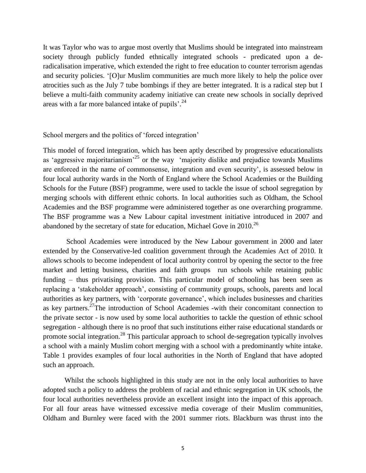It was Taylor who was to argue most overtly that Muslims should be integrated into mainstream society through publicly funded ethnically integrated schools - predicated upon a deradicalisation imperative, which extended the right to free education to counter terrorism agendas and security policies. '[O]ur Muslim communities are much more likely to help the police over atrocities such as the July 7 tube bombings if they are better integrated. It is a radical step but I believe a multi-faith community academy initiative can create new schools in socially deprived areas with a far more balanced intake of pupils<sup>'.24</sup>

School mergers and the politics of 'forced integration'

This model of forced integration, which has been aptly described by progressive educationalists as 'aggressive majoritarianism'<sup>25</sup> or the way 'majority dislike and prejudice towards Muslims are enforced in the name of commonsense, integration and even security', is assessed below in four local authority wards in the North of England where the School Academies or the Building Schools for the Future (BSF) programme, were used to tackle the issue of school segregation by merging schools with different ethnic cohorts. In local authorities such as Oldham, the School Academies and the BSF programme were administered together as one overarching programme. The BSF programme was a New Labour capital investment initiative introduced in 2007 and abandoned by the secretary of state for education, Michael Gove in  $2010$ .<sup>26</sup>

School Academies were introduced by the New Labour government in 2000 and later extended by the Conservative-led coalition government through the Academies Act of 2010. It allows schools to become independent of local authority control by opening the sector to the free market and letting business, charities and faith groups run schools while retaining public funding – thus privatising provision. This particular model of schooling has been seen as replacing a 'stakeholder approach', consisting of community groups, schools, parents and local authorities as key partners, with 'corporate governance', which includes businesses and charities as key partners.<sup>27</sup>The introduction of School Academies -with their concomitant connection to the private sector - is now used by some local authorities to tackle the question of ethnic school segregation - although there is no proof that such institutions either raise educational standards or promote social integration.<sup>28</sup> This particular approach to school de-segregation typically involves a school with a mainly Muslim cohort merging with a school with a predominantly white intake. Table 1 provides examples of four local authorities in the North of England that have adopted such an approach.

Whilst the schools highlighted in this study are not in the only local authorities to have adopted such a policy to address the problem of racial and ethnic segregation in UK schools, the four local authorities nevertheless provide an excellent insight into the impact of this approach. For all four areas have witnessed excessive media coverage of their Muslim communities, Oldham and Burnley were faced with the 2001 summer riots. Blackburn was thrust into the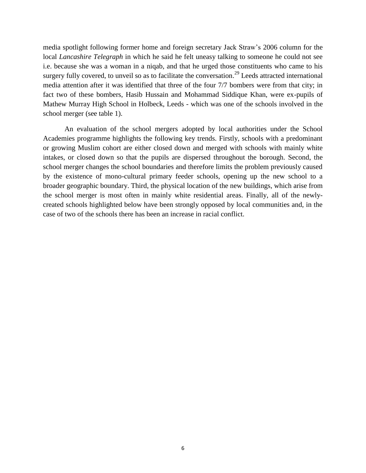media spotlight following former home and foreign secretary Jack Straw's 2006 column for the local *Lancashire Telegraph* in which he said he felt uneasy talking to someone he could not see i.e. because she was a woman in a niqab, and that he urged those constituents who came to his surgery fully covered, to unveil so as to facilitate the conversation.<sup>29</sup> Leeds attracted international media attention after it was identified that three of the four 7/7 bombers were from that city; in fact two of these bombers, Hasib Hussain and Mohammad Siddique Khan, were ex-pupils of Mathew Murray High School in Holbeck, Leeds - which was one of the schools involved in the school merger (see table 1).

An evaluation of the school mergers adopted by local authorities under the School Academies programme highlights the following key trends. Firstly, schools with a predominant or growing Muslim cohort are either closed down and merged with schools with mainly white intakes, or closed down so that the pupils are dispersed throughout the borough. Second, the school merger changes the school boundaries and therefore limits the problem previously caused by the existence of mono-cultural primary feeder schools, opening up the new school to a broader geographic boundary. Third, the physical location of the new buildings, which arise from the school merger is most often in mainly white residential areas. Finally, all of the newlycreated schools highlighted below have been strongly opposed by local communities and, in the case of two of the schools there has been an increase in racial conflict.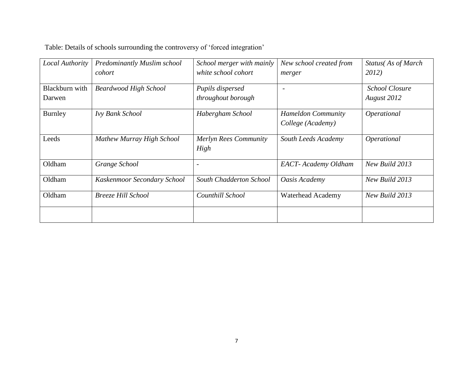| Table: Details of schools surrounding the controversy of 'forced integration' |  |
|-------------------------------------------------------------------------------|--|
|                                                                               |  |

| Local Authority          | Predominantly Muslim school<br>cohort | School merger with mainly<br>white school cohort | New school created from<br>merger              | Status(As of March<br>2012)          |
|--------------------------|---------------------------------------|--------------------------------------------------|------------------------------------------------|--------------------------------------|
| Blackburn with<br>Darwen | <b>Beardwood High School</b>          | Pupils dispersed<br>throughout borough           | $\overline{\phantom{0}}$                       | <b>School Closure</b><br>August 2012 |
| Burnley                  | Ivy Bank School                       | Habergham School                                 | <b>Hameldon Community</b><br>College (Academy) | Operational                          |
| Leeds                    | Mathew Murray High School             | Merlyn Rees Community<br>High                    | South Leeds Academy                            | Operational                          |
| Oldham                   | Grange School                         |                                                  | <b>EACT</b> - Academy Oldham                   | New Build 2013                       |
| Oldham                   | Kaskenmoor Secondary School           | South Chadderton School                          | Oasis Academy                                  | New Build 2013                       |
| Oldham                   | Breeze Hill School                    | Counthill School                                 | <b>Waterhead Academy</b>                       | New Build 2013                       |
|                          |                                       |                                                  |                                                |                                      |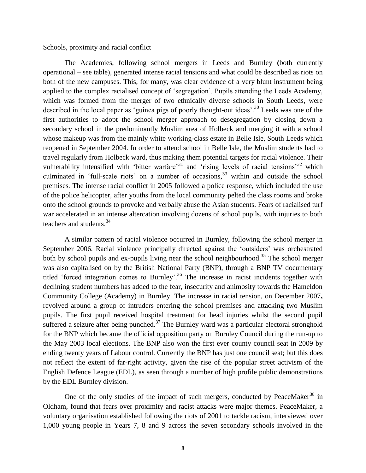Schools, proximity and racial conflict

The Academies, following school mergers in Leeds and Burnley **(**both currently operational – see table), generated intense racial tensions and what could be described as riots on both of the new campuses. This, for many, was clear evidence of a very blunt instrument being applied to the complex racialised concept of 'segregation'. Pupils attending the Leeds Academy, which was formed from the merger of two ethnically diverse schools in South Leeds, were described in the local paper as 'guinea pigs of poorly thought-out ideas'.<sup>30</sup> Leeds was one of the first authorities to adopt the school merger approach to desegregation by closing down a secondary school in the predominantly Muslim area of Holbeck and merging it with a school whose makeup was from the mainly white working-class estate in Belle Isle, South Leeds which reopened in September 2004. In order to attend school in Belle Isle, the Muslim students had to travel regularly from Holbeck ward, thus making them potential targets for racial violence. Their vulnerability intensified with 'bitter warfare'<sup>31</sup> and 'rising levels of racial tensions'<sup>32</sup> which culminated in 'full-scale riots' on a number of occasions, <sup>33</sup> within and outside the school premises*.* The intense racial conflict in 2005 followed a police response, which included the use of the police helicopter, after youths from the local community pelted the class rooms and broke onto the school grounds to provoke and verbally abuse the Asian students. Fears of racialised turf war accelerated in an intense altercation involving dozens of school pupils, with injuries to both teachers and students.<sup>34</sup>

A similar pattern of racial violence occurred in Burnley, following the school merger in September 2006. Racial violence principally directed against the 'outsiders' was orchestrated both by school pupils and ex-pupils living near the school neighbourhood.<sup>35</sup> The school merger was also capitalised on by the British National Party (BNP), through a BNP TV documentary titled 'forced integration comes to Burnley'.<sup>36</sup> The increase in racist incidents together with declining student numbers has added to the fear, insecurity and animosity towards the Hameldon Community College (Academy) in Burnley. The increase in racial tension, on December 2007**,**  revolved around a group of intruders entering the school premises and attacking two Muslim pupils. The first pupil received hospital treatment for head injuries whilst the second pupil suffered a seizure after being punched.<sup>37</sup> The Burnley ward was a particular electoral stronghold for the BNP which became the official opposition party on Burnley Council during the run-up to the May 2003 local elections. The BNP also won the first ever county council seat in 2009 by ending twenty years of Labour control. Currently the BNP has just one council seat; but this does not reflect the extent of far-right activity, given the rise of the popular street activism of the English Defence League (EDL), as seen through a number of high profile public demonstrations by the EDL Burnley division.

One of the only studies of the impact of such mergers, conducted by PeaceMaker<sup>38</sup> in Oldham, found that fears over proximity and racist attacks were major themes. PeaceMaker, a voluntary organisation established following the riots of 2001 to tackle racism, interviewed over 1,000 young people in Years 7, 8 and 9 across the seven secondary schools involved in the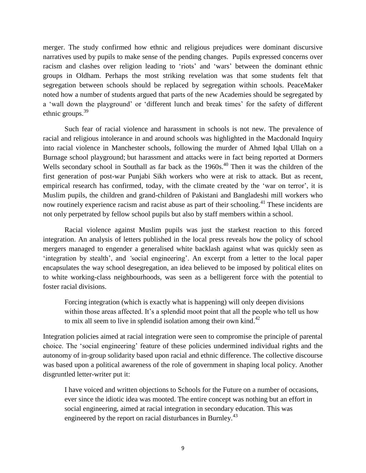merger. The study confirmed how ethnic and religious prejudices were dominant discursive narratives used by pupils to make sense of the pending changes. Pupils expressed concerns over racism and clashes over religion leading to 'riots' and 'wars' between the dominant ethnic groups in Oldham. Perhaps the most striking revelation was that some students felt that segregation between schools should be replaced by segregation within schools. PeaceMaker noted how a number of students argued that parts of the new Academies should be segregated by a 'wall down the playground' or 'different lunch and break times' for the safety of different ethnic groups.<sup>39</sup>

Such fear of racial violence and harassment in schools is not new. The prevalence of racial and religious intolerance in and around schools was highlighted in the Macdonald Inquiry into racial violence in Manchester schools, following the murder of Ahmed Iqbal Ullah on a Burnage school playground; but harassment and attacks were in fact being reported at Dormers Wells secondary school in Southall as far back as the 1960s.<sup>40</sup> Then it was the children of the first generation of post-war Punjabi Sikh workers who were at risk to attack. But as recent, empirical research has confirmed, today, with the climate created by the 'war on terror', it is Muslim pupils, the children and grand-children of Pakistani and Bangladeshi mill workers who now routinely experience racism and racist abuse as part of their schooling.<sup>41</sup> These incidents are not only perpetrated by fellow school pupils but also by staff members within a school.

Racial violence against Muslim pupils was just the starkest reaction to this forced integration. An analysis of letters published in the local press reveals how the policy of school mergers managed to engender a generalised white backlash against what was quickly seen as 'integration by stealth', and *'*social engineering'. An excerpt from a letter to the local paper encapsulates the way school desegregation, an idea believed to be imposed by political elites on to white working-class neighbourhoods, was seen as a belligerent force with the potential to foster racial divisions.

Forcing integration (which is exactly what is happening) will only deepen divisions within those areas affected. It's a splendid moot point that all the people who tell us how to mix all seem to live in splendid isolation among their own kind. $42$ 

Integration policies aimed at racial integration were seen to compromise the principle of parental choice. The 'social engineering' feature of these policies undermined individual rights and the autonomy of in-group solidarity based upon racial and ethnic difference. The collective discourse was based upon a political awareness of the role of government in shaping local policy. Another disgruntled letter-writer put it:

I have voiced and written objections to Schools for the Future on a number of occasions, ever since the idiotic idea was mooted. The entire concept was nothing but an effort in social engineering, aimed at racial integration in secondary education. This was engineered by the report on racial disturbances in Burnley.<sup>43</sup>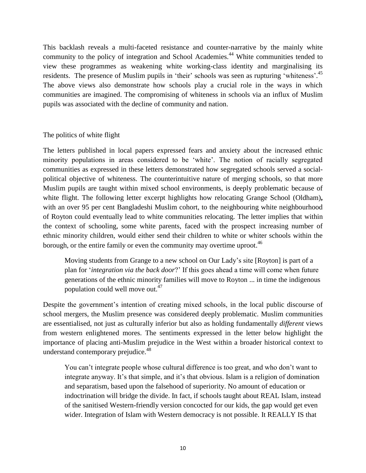This backlash reveals a multi-faceted resistance and counter-narrative by the mainly white community to the policy of integration and School Academies.<sup>44</sup> White communities tended to view these programmes as weakening white working-class identity and marginalising its residents. The presence of Muslim pupils in 'their' schools was seen as rupturing 'whiteness'.<sup>45</sup> The above views also demonstrate how schools play a crucial role in the ways in which communities are imagined. The compromising of whiteness in schools via an influx of Muslim pupils was associated with the decline of community and nation.

### The politics of white flight

The letters published in local papers expressed fears and anxiety about the increased ethnic minority populations in areas considered to be 'white'. The notion of racially segregated communities as expressed in these letters demonstrated how segregated schools served a socialpolitical objective of whiteness. The counterintuitive nature of merging schools, so that more Muslim pupils are taught within mixed school environments, is deeply problematic because of white flight. The following letter excerpt highlights how relocating Grange School (Oldham)**,** with an over 95 per cent Bangladeshi Muslim cohort, to the neighbouring white neighbourhood of Royton could eventually lead to white communities relocating. The letter implies that within the context of schooling, some white parents, faced with the prospect increasing number of ethnic minority children, would either send their children to white or whiter schools within the borough, or the entire family or even the community may overtime uproot.<sup>46</sup>

Moving students from Grange to a new school on Our Lady's site [Royton] is part of a plan for '*integration via the back door*?' If this goes ahead a time will come when future generations of the ethnic minority families will move to Royton ... in time the indigenous population could well move out.<sup>47</sup>

Despite the government's intention of creating mixed schools, in the local public discourse of school mergers, the Muslim presence was considered deeply problematic. Muslim communities are essentialised, not just as culturally inferior but also as holding fundamentally *different* views from western enlightened mores. The sentiments expressed in the letter below highlight the importance of placing anti-Muslim prejudice in the West within a broader historical context to understand contemporary prejudice.<sup>48</sup>

You can't integrate people whose cultural difference is too great, and who don't want to integrate anyway. It's that simple, and it's that obvious. Islam is a religion of domination and separatism, based upon the falsehood of superiority. No amount of education or indoctrination will bridge the divide. In fact, if schools taught about REAL Islam, instead of the sanitised Western-friendly version concocted for our kids, the gap would get even wider. Integration of Islam with Western democracy is not possible. It REALLY IS that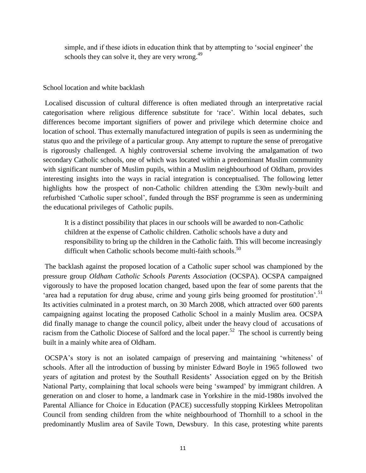simple, and if these idiots in education think that by attempting to 'social engineer' the schools they can solve it, they are very wrong.<sup>49</sup>

### School location and white backlash

Localised discussion of cultural difference is often mediated through an interpretative racial categorisation where religious difference substitute for 'race'. Within local debates, such differences become important signifiers of power and privilege which determine choice and location of school. Thus externally manufactured integration of pupils is seen as undermining the status quo and the privilege of a particular group. Any attempt to rupture the sense of prerogative is rigorously challenged. A highly controversial scheme involving the amalgamation of two secondary Catholic schools, one of which was located within a predominant Muslim community with significant number of Muslim pupils, within a Muslim neighbourhood of Oldham, provides interesting insights into the ways in racial integration is conceptualised. The following letter highlights how the prospect of non-Catholic children attending the £30m newly-built and refurbished 'Catholic super school', funded through the BSF programme is seen as undermining the educational privileges of Catholic pupils.

It is a distinct possibility that places in our schools will be awarded to non-Catholic children at the expense of Catholic children. Catholic schools have a duty and responsibility to bring up the children in the Catholic faith. This will become increasingly difficult when Catholic schools become multi-faith schools.<sup>50</sup>

The backlash against the proposed location of a Catholic super school was championed by the pressure group *Oldham Catholic Schools Parents Association* (OCSPA). OCSPA campaigned vigorously to have the proposed location changed, based upon the fear of some parents that the 'area had a reputation for drug abuse, crime and young girls being groomed for prostitution'.<sup>51</sup> Its activities culminated in a protest march, on 30 March 2008, which attracted over 600 parents campaigning against locating the proposed Catholic School in a mainly Muslim area. OCSPA did finally manage to change the council policy, albeit under the heavy cloud of accusations of racism from the Catholic Diocese of Salford and the local paper.<sup>52</sup> The school is currently being built in a mainly white area of Oldham.

OCSPA's story is not an isolated campaign of preserving and maintaining 'whiteness' of schools. After all the introduction of bussing by minister Edward Boyle in 1965 followed two years of agitation and protest by the Southall Residents' Association egged on by the British National Party, complaining that local schools were being 'swamped' by immigrant children. A generation on and closer to home, a landmark case in Yorkshire in the mid-1980s involved the Parental Alliance for Choice in Education (PACE) successfully stopping Kirklees Metropolitan Council from sending children from the white neighbourhood of Thornhill to a school in the predominantly Muslim area of Savile Town, Dewsbury. In this case, protesting white parents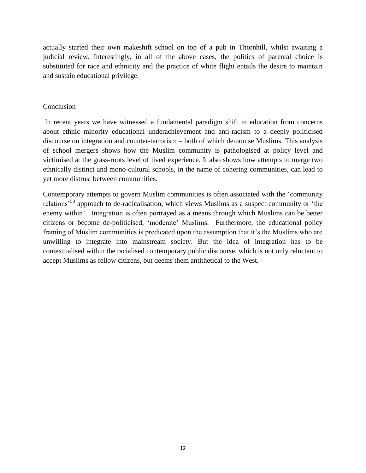actually started their own makeshift school on top of a pub in Thornhill, whilst awaiting a judicial review. Interestingly, in all of the above cases, the politics of parental choice is substituted for race and ethnicity and the practice of white flight entails the desire to maintain and sustain educational privilege*.* 

### **Conclusion**

In recent years we have witnessed a fundamental paradigm shift in education from concerns about ethnic minority educational underachievement and anti-racism to a deeply politicised discourse on integration and counter-terrorism – both of which demonise Muslims. This analysis of school mergers shows how the Muslim community is pathologised at policy level and victimised at the grass-roots level of lived experience. It also shows how attempts to merge two ethnically distinct and mono-cultural schools, in the name of cohering communities, can lead to yet more distrust between communities.

Contemporary attempts to govern Muslim communities is often associated with the 'community relations'<sup>53</sup> approach to de-radicalisation, which views Muslims as a suspect community or 'the enemy within*'*. Integration is often portrayed as a means through which Muslims can be better citizens or become de-politicised, 'moderate' Muslims. Furthermore, the educational policy framing of Muslim communities is predicated upon the assumption that it's the Muslims who are unwilling to integrate into mainstream society. But the idea of integration has to be contextualised within the racialised contemporary public discourse, which is not only reluctant to accept Muslims as fellow citizens, but deems them antithetical to the West.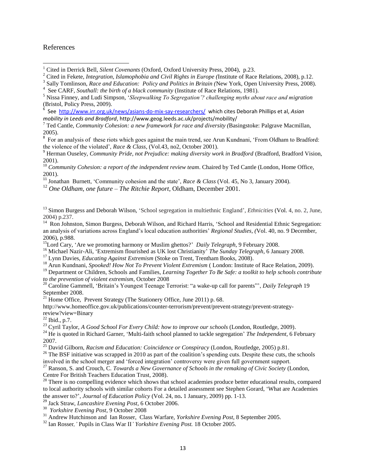#### References

 $\overline{a}$ 

 See <http://www.irr.org.uk/news/asians-do-mix-say-researchers/>which cites Deborah Phillips et al, *Asian mobility in Leeds and Bradford*, http://www.geog.leeds.ac.uk/projects/mobility/

<sup>7</sup> Ted Cantle, *Community Cohesion: a new framework for race and diversity (*Basingstoke: Palgrave Macmillan, 2005).

<sup>8</sup> For an analysis of these riots which goes against the main trend, see Arun Kundnani, 'From Oldham to Bradford: the violence of the violated', *Race & Class*, (Vol.43, no2, October 2001).

<sup>9</sup> Herman Ouseley, *Community Pride, not Prejudice: making diversity work in Bradford* (Bradford, Bradford Vision, 2001).

<sup>10</sup> Community Cohesion: a report of the independent review team. Chaired by Ted Cantle (London, Home Office, 2001).

<sup>11</sup> Jonathan Burnett, 'Community cohesion and the state', *Race & Class* (Vol. 45, No 3, January 2004).

<sup>12</sup> *One Oldham, one future – The Ritchie Report*, Oldham, December 2001.

<sup>13</sup> Simon Burgess and Deborah Wilson, 'School segregation in multiethnic England', *Ethnicities* (Vol. 4, no. 2, June, 2004) p.237.

<sup>14</sup> Ron Johnston, Simon Burgess, Deborah Wilson, and Richard Harris, 'School and Residential Ethnic Segregation: an analysis of variations across England's local education authorities' *Regional Studies, (*Vol. 40, no. 9 December, 2006), p.988.

<sup>15</sup>Lord Cary, 'Are we promoting harmony or Muslim ghettos?' *Daily Telegraph*, 9 February 2008.

<sup>16</sup> Michael Nazir-Ali, 'Extremism flourished as UK lost Christianity' *The Sunday Telegraph*, 6 January 2008.

<sup>17</sup> Lynn Davies, *Educating Against Extremism* (Stoke on Trent, Trentham Books, 2008).

<sup>18</sup> Arun Kundnani, *Spooked! How Not To Prevent Violent Extremism* ( London: Institute of Race Relation, 2009).

<sup>19</sup> Department or Children, Schools and Families, *Learning Together To Be Safe: a toolkit to help schools contribute to the prevention of violent extremism*, October 2008

<sup>20</sup> Caroline Gammell, 'Britain's Youngest Teenage Terrorist: "a wake-up call for parents"', *Daily Telegraph* 19 September 2008.

 $21$  Home Office, Prevent Strategy (The Stationery Office, June 2011) p. 68.

http://www.homeoffice.gov.uk/publications/counter-terrorism/prevent/prevent-strategy/prevent-strategyreview?view=Binary

 $^{22}$  Ibid., p.7.

<sup>23</sup> Cyril Taylor, *A Good School For Every Child: how to improve our schools* (London, Routledge, 2009).

<sup>24</sup> He is quoted in Richard Garner, 'Multi-faith school planned to tackle segregation' *The Independent,* 6 February 2007.

<sup>25</sup> David Gilborn, *Racism and Education: Coincidence or Conspiracy* (London, Routledge, 2005) p.81.

 $26$  The BSF initiative was scrapped in 2010 as part of the coalition's spending cuts. Despite these cuts, the schools involved in the school merger and 'forced integration' controversy were given full government support.

<sup>27</sup> Ranson, S. and Crouch, C. *Towards a New Governance of Schools in the remaking of Civic Society* (London, Centre For British Teachers Education Trust, 2008).

 $28$  There is no compelling evidence which shows that school academies produce better educational results, compared to local authority schools with similar cohorts For a detailed assessment see Stephen Gorard, 'What are Academies the answer to?', *Journal of Education Policy* (Vol. 24, no**.** 1 January, 2009) pp. 1‐13.

<sup>29</sup> Jack Straw, *Lancashire Evening Post*, 6 October 2006.

30 *Yorkshire Evening Post*, 9 October 2008

<sup>31</sup> Andrew Hutchinson and Ian Rosser, Class Warfare, *Yorkshire Evening Post*, 8 September 2005.

<sup>32</sup> Ian Rosser*,'* Pupils in Class War II*' Yorkshire Evening Post.* 18 October 2005.

<sup>1</sup> Cited in Derrick Bell, *Silent Covenants* (Oxford, Oxford University Press, 2004), p.23.

<sup>2</sup> Cited in Fekete, *Integration, Islamophobia and Civil Rights in Europe (*Institute of Race Relations, 2008), p.12.

<sup>3</sup> Sally Tomlinson, *Race and Education: Policy and Politics in Britain (*New York, Open University Press, 2008).

<sup>4</sup> See CARF, *Southall: the birth of a black community* (Institute of Race Relations, 1981).

<sup>5</sup> Nissa Finney, and Ludi Simpson, '*Sleepwalking To Segregation'? challenging myths about race and migration*   $(Bristol, Policy Press, 2009).$